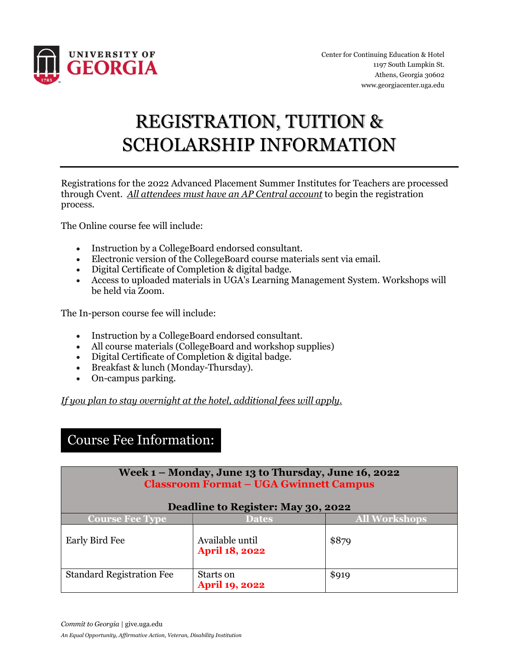

# REGISTRATION, TUITION & SCHOLARSHIP INFORMATION

Registrations for the 2022 Advanced Placement Summer Institutes for Teachers are processed through Cvent. *All attendees must have an AP Central account* to begin the registration process.

The Online course fee will include:

- Instruction by a CollegeBoard endorsed consultant.
- Electronic version of the CollegeBoard course materials sent via email.
- Digital Certificate of Completion & digital badge.
- Access to uploaded materials in UGA's Learning Management System. Workshops will be held via Zoom.

The In-person course fee will include:

- Instruction by a CollegeBoard endorsed consultant.
- All course materials (CollegeBoard and workshop supplies)
- Digital Certificate of Completion & digital badge.
- Breakfast & lunch (Monday-Thursday).
- On-campus parking.

*If you plan to stay overnight at the hotel, additional fees will apply.*

### Course Fee Information:

| Week 1 – Monday, June 13 to Thursday, June 16, 2022<br><b>Classroom Format - UGA Gwinnett Campus</b><br>Deadline to Register: May 30, 2022 |                                          |                      |  |
|--------------------------------------------------------------------------------------------------------------------------------------------|------------------------------------------|----------------------|--|
| <b>Course Fee Type</b>                                                                                                                     | <b>Dates</b>                             | <b>All Workshops</b> |  |
| Early Bird Fee                                                                                                                             | Available until<br><b>April 18, 2022</b> | \$879                |  |
| <b>Standard Registration Fee</b>                                                                                                           | Starts on<br><b>April 19, 2022</b>       | \$919                |  |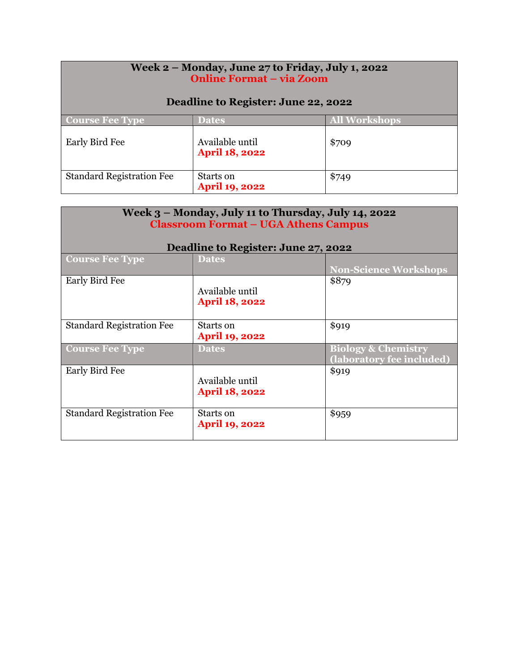| Week 2 – Monday, June 27 to Friday, July 1, 2022<br><b>Online Format - via Zoom</b><br>Deadline to Register: June 22, 2022 |                                          |                      |  |
|----------------------------------------------------------------------------------------------------------------------------|------------------------------------------|----------------------|--|
| <b>Course Fee Type</b>                                                                                                     | <b>Dates</b>                             | <b>All Workshops</b> |  |
| Early Bird Fee                                                                                                             | Available until<br><b>April 18, 2022</b> | \$709                |  |
| <b>Standard Registration Fee</b>                                                                                           | Starts on<br>April 19, 2022              | \$749                |  |

| Week 3 - Monday, July 11 to Thursday, July 14, 2022<br><b>Classroom Format - UGA Athens Campus</b> |                                          |                                                             |  |
|----------------------------------------------------------------------------------------------------|------------------------------------------|-------------------------------------------------------------|--|
| Deadline to Register: June 27, 2022                                                                |                                          |                                                             |  |
| <b>Course Fee Type</b>                                                                             | <b>Dates</b>                             | <b>Non-Science Workshops</b>                                |  |
| Early Bird Fee                                                                                     | Available until<br><b>April 18, 2022</b> | \$879                                                       |  |
| <b>Standard Registration Fee</b>                                                                   | Starts on<br><b>April 19, 2022</b>       | \$919                                                       |  |
| <b>Course Fee Type</b>                                                                             | <b>Dates</b>                             | <b>Biology &amp; Chemistry</b><br>(laboratory fee included) |  |
| Early Bird Fee                                                                                     | Available until<br><b>April 18, 2022</b> | \$919                                                       |  |
| <b>Standard Registration Fee</b>                                                                   | Starts on<br><b>April 19, 2022</b>       | \$959                                                       |  |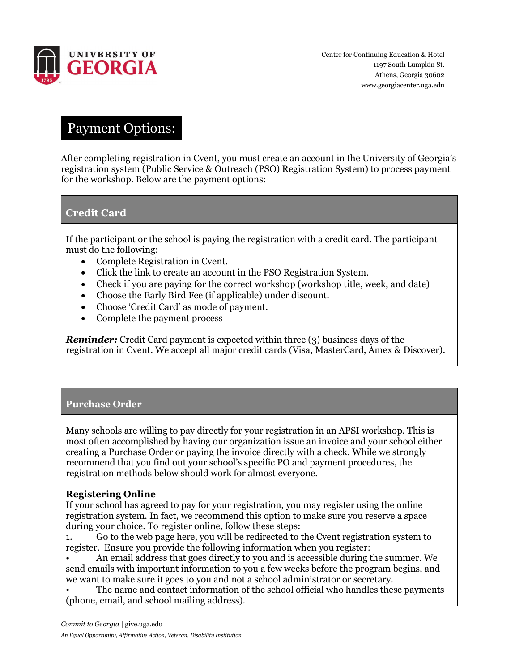

## Payment Options:

After completing registration in Cvent, you must create an account in the University of Georgia's registration system (Public Service & Outreach (PSO) Registration System) to process payment for the workshop. Below are the payment options:

#### **Credit Card**

If the participant or the school is paying the registration with a credit card. The participant must do the following:

- Complete Registration in Cvent.
- Click the link to create an account in the PSO Registration System.
- Check if you are paying for the correct workshop (workshop title, week, and date)
- Choose the Early Bird Fee (if applicable) under discount.
- Choose 'Credit Card' as mode of payment.
- Complete the payment process

*Reminder:* Credit Card payment is expected within three (3) business days of the registration in Cvent. We accept all major credit cards (Visa, MasterCard, Amex & Discover).

#### **Purchase Order**

Many schools are willing to pay directly for your registration in an APSI workshop. This is most often accomplished by having our organization issue an invoice and your school either creating a Purchase Order or paying the invoice directly with a check. While we strongly recommend that you find out your school's specific PO and payment procedures, the registration methods below should work for almost everyone.

#### **Registering Online**

If your school has agreed to pay for your registration, you may register using the online registration system. In fact, we recommend this option to make sure you reserve a space during your choice. To register online, follow these steps:

1. Go to the web page here, you will be redirected to the Cvent registration system to register. Ensure you provide the following information when you register:

• An email address that goes directly to you and is accessible during the summer. We send emails with important information to you a few weeks before the program begins, and we want to make sure it goes to you and not a school administrator or secretary.

The name and contact information of the school official who handles these payments (phone, email, and school mailing address).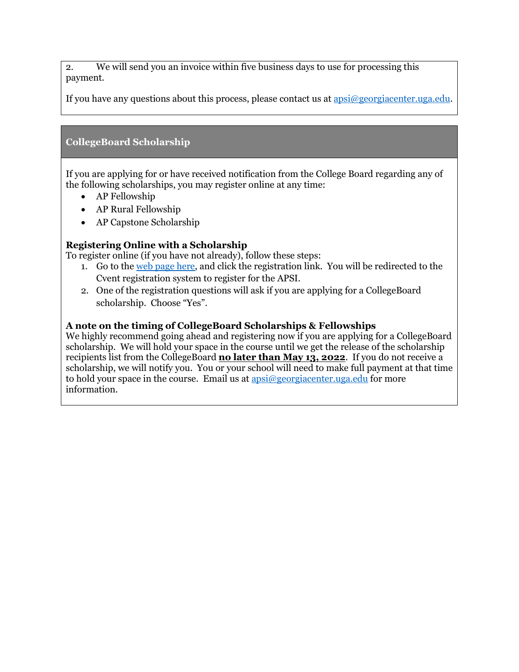2. We will send you an invoice within five business days to use for processing this payment.

If you have any questions about this process, please contact us at  $a$ psi $\omega$ georgiacenter.uga.edu.

#### **CollegeBoard Scholarship**

If you are applying for or have received notification from the College Board regarding any of the following scholarships, you may register online at any time:

- AP Fellowship
- AP Rural Fellowship
- AP Capstone Scholarship

#### **Registering Online with a Scholarship**

To register online (if you have not already), follow these steps:

- 1. Go to the [web page here,](http://www.georgiacenter.uga.edu/courses/teaching-and-education/advanced-placement-summer-institutes) and click the registration link. You will be redirected to the Cvent registration system to register for the APSI.
- 2. One of the registration questions will ask if you are applying for a CollegeBoard scholarship. Choose "Yes".

#### **A note on the timing of CollegeBoard Scholarships & Fellowships**

We highly recommend going ahead and registering now if you are applying for a CollegeBoard scholarship. We will hold your space in the course until we get the release of the scholarship recipients list from the CollegeBoard **no later than May 13, 2022**. If you do not receive a scholarship, we will notify you. You or your school will need to make full payment at that time to hold your space in the course. Email us at  $\frac{1}{2}$  apsi $\frac{1}{2}$  georgiacenter.uga.edu for more information.